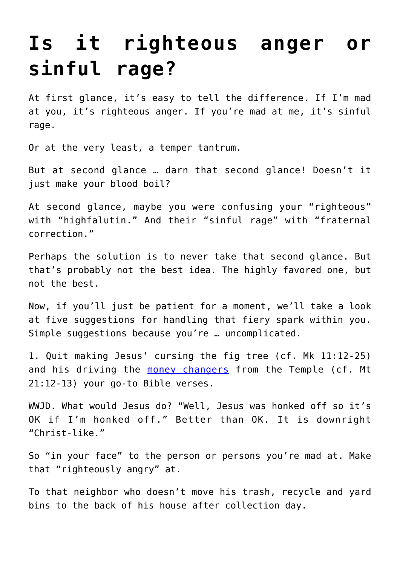## **[Is it righteous anger or](https://www.osvnews.com/2021/10/04/is-it-righteous-anger-or-sinful-rage/) [sinful rage?](https://www.osvnews.com/2021/10/04/is-it-righteous-anger-or-sinful-rage/)**

At first glance, it's easy to tell the difference. If I'm mad at you, it's righteous anger. If you're mad at me, it's sinful rage.

Or at the very least, a temper tantrum.

But at second glance … darn that second glance! Doesn't it just make your blood boil?

At second glance, maybe you were confusing your "righteous" with "highfalutin." And their "sinful rage" with "fraternal correction."

Perhaps the solution is to never take that second glance. But that's probably not the best idea. The highly favored one, but not the best.

Now, if you'll just be patient for a moment, we'll take a look at five suggestions for handling that fiery spark within you. Simple suggestions because you're … uncomplicated.

1. Quit making Jesus' cursing the fig tree (cf. Mk 11:12-25) and his driving the [money changers](https://www.osvnews.com/2021/03/01/opening-the-word-he-knew-it-well/) from the Temple (cf. Mt 21:12-13) your go-to Bible verses.

WWJD. What would Jesus do? "Well, Jesus was honked off so it's OK if I'm honked off." Better than OK. It is downright "Christ-like."

So "in your face" to the person or persons you're mad at. Make that "righteously angry" at.

To that neighbor who doesn't move his trash, recycle and yard bins to the back of his house after collection day.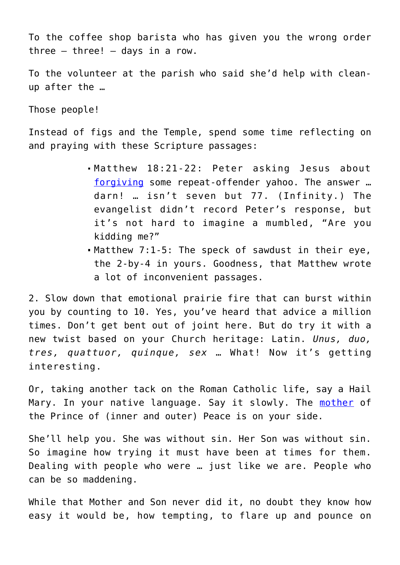To the coffee shop barista who has given you the wrong order three  $-$  three!  $-$  days in a row.

To the volunteer at the parish who said she'd help with cleanup after the …

Those people!

Instead of figs and the Temple, spend some time reflecting on and praying with these Scripture passages:

- Matthew 18:21-22: Peter asking Jesus about [forgiving](https://www.osvnews.com/2018/10/24/the-ferocity-and-tenderness-of-forgiveness-in-marriage/) some repeat-offender yahoo. The answer … darn! … isn't seven but 77. (Infinity.) The evangelist didn't record Peter's response, but it's not hard to imagine a mumbled, "Are you kidding me?"
- Matthew 7:1-5: The speck of sawdust in their eye, the 2-by-4 in yours. Goodness, that Matthew wrote a lot of inconvenient passages.

2. Slow down that emotional prairie fire that can burst within you by counting to 10. Yes, you've heard that advice a million times. Don't get bent out of joint here. But do try it with a new twist based on your Church heritage: Latin. *Unus, duo, tres, quattuor, quinque, sex* … What! Now it's getting interesting.

Or, taking another tack on the Roman Catholic life, say a Hail Mary. In your native language. Say it slowly. The [mother](https://www.osvnews.com/2021/03/26/co-redemptrix-mary-points-us-to-christ-the-one-redeemer/) of the Prince of (inner and outer) Peace is on your side.

She'll help you. She was without sin. Her Son was without sin. So imagine how trying it must have been at times for them. Dealing with people who were … just like we are. People who can be so maddening.

While that Mother and Son never did it, no doubt they know how easy it would be, how tempting, to flare up and pounce on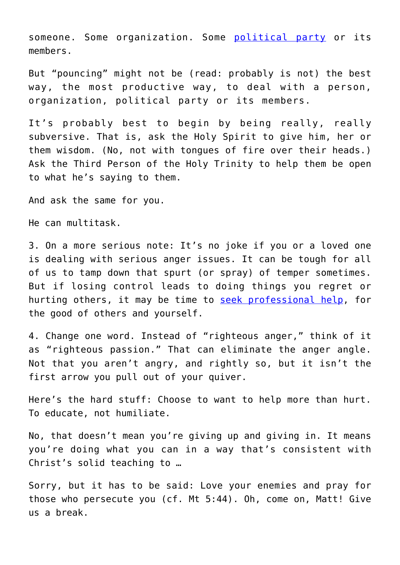someone. Some organization. Some [political party](https://www.osvnews.com/2020/08/20/hate-the-political-position-love-the-person-who-holds-it/) or its members.

But "pouncing" might not be (read: probably is not) the best way, the most productive way, to deal with a person, organization, political party or its members.

It's probably best to begin by being really, really subversive. That is, ask the Holy Spirit to give him, her or them wisdom. (No, not with tongues of fire over their heads.) Ask the Third Person of the Holy Trinity to help them be open to what he's saying to them.

And ask the same for you.

He can multitask.

3. On a more serious note: It's no joke if you or a loved one is dealing with serious anger issues. It can be tough for all of us to tamp down that spurt (or spray) of temper sometimes. But if losing control leads to doing things you regret or hurting others, it may be time to [seek professional help](https://www.osvnews.com/2020/11/09/anxious-about-holiday-gatherings-lessons-from-scripture-can-help/), for the good of others and yourself.

4. Change one word. Instead of "righteous anger," think of it as "righteous passion." That can eliminate the anger angle. Not that you aren't angry, and rightly so, but it isn't the first arrow you pull out of your quiver.

Here's the hard stuff: Choose to want to help more than hurt. To educate, not humiliate.

No, that doesn't mean you're giving up and giving in. It means you're doing what you can in a way that's consistent with Christ's solid teaching to …

Sorry, but it has to be said: Love your enemies and pray for those who persecute you (cf. Mt 5:44). Oh, come on, Matt! Give us a break.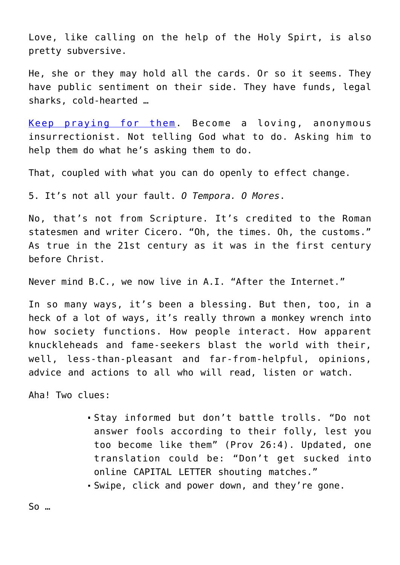Love, like calling on the help of the Holy Spirt, is also pretty subversive.

He, she or they may hold all the cards. Or so it seems. They have public sentiment on their side. They have funds, legal sharks, cold-hearted …

[Keep praying for them.](https://www.osvnews.com/2021/05/28/lessons-on-prayer-from-pope-francis/) Become a loving, anonymous insurrectionist. Not telling God what to do. Asking him to help them do what he's asking them to do.

That, coupled with what you can do openly to effect change.

5. It's not all your fault. *O Tempora. O Mores*.

No, that's not from Scripture. It's credited to the Roman statesmen and writer Cicero. "Oh, the times. Oh, the customs." As true in the 21st century as it was in the first century before Christ.

Never mind B.C., we now live in A.I. "After the Internet."

In so many ways, it's been a blessing. But then, too, in a heck of a lot of ways, it's really thrown a monkey wrench into how society functions. How people interact. How apparent knuckleheads and fame-seekers blast the world with their, well, less-than-pleasant and far-from-helpful, opinions, advice and actions to all who will read, listen or watch.

Aha! Two clues:

- Stay informed but don't battle trolls. "Do not answer fools according to their folly, lest you too become like them" (Prov 26:4). Updated, one translation could be: "Don't get sucked into online CAPITAL LETTER shouting matches."
- Swipe, click and power down, and they're gone.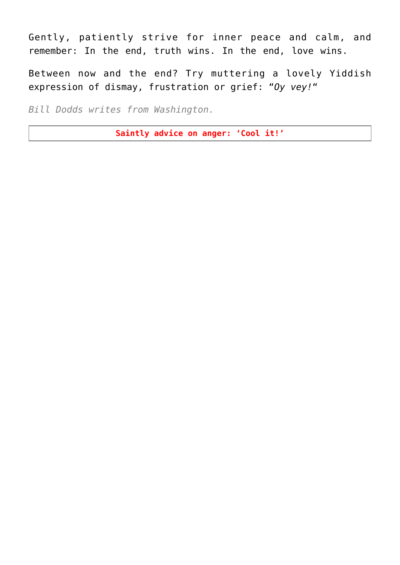Gently, patiently strive for inner peace and calm, and remember: In the end, truth wins. In the end, love wins.

Between now and the end? Try muttering a lovely Yiddish expression of dismay, frustration or grief: "*Oy vey!*"

*Bill Dodds writes from Washington.*

**Saintly advice on anger: 'Cool it!'**